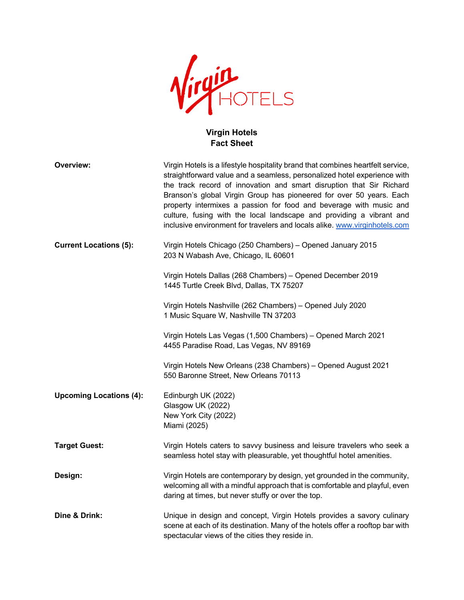

## **Virgin Hotels Fact Sheet**

| Overview:                      | Virgin Hotels is a lifestyle hospitality brand that combines heartfelt service,<br>straightforward value and a seamless, personalized hotel experience with<br>the track record of innovation and smart disruption that Sir Richard<br>Branson's global Virgin Group has pioneered for over 50 years. Each<br>property intermixes a passion for food and beverage with music and<br>culture, fusing with the local landscape and providing a vibrant and<br>inclusive environment for travelers and locals alike. www.virginhotels.com |
|--------------------------------|----------------------------------------------------------------------------------------------------------------------------------------------------------------------------------------------------------------------------------------------------------------------------------------------------------------------------------------------------------------------------------------------------------------------------------------------------------------------------------------------------------------------------------------|
| <b>Current Locations (5):</b>  | Virgin Hotels Chicago (250 Chambers) - Opened January 2015<br>203 N Wabash Ave, Chicago, IL 60601                                                                                                                                                                                                                                                                                                                                                                                                                                      |
|                                | Virgin Hotels Dallas (268 Chambers) - Opened December 2019<br>1445 Turtle Creek Blvd, Dallas, TX 75207                                                                                                                                                                                                                                                                                                                                                                                                                                 |
|                                | Virgin Hotels Nashville (262 Chambers) - Opened July 2020<br>1 Music Square W, Nashville TN 37203                                                                                                                                                                                                                                                                                                                                                                                                                                      |
|                                | Virgin Hotels Las Vegas (1,500 Chambers) - Opened March 2021<br>4455 Paradise Road, Las Vegas, NV 89169                                                                                                                                                                                                                                                                                                                                                                                                                                |
|                                | Virgin Hotels New Orleans (238 Chambers) - Opened August 2021<br>550 Baronne Street, New Orleans 70113                                                                                                                                                                                                                                                                                                                                                                                                                                 |
| <b>Upcoming Locations (4):</b> | Edinburgh UK (2022)<br>Glasgow UK (2022)<br>New York City (2022)<br>Miami (2025)                                                                                                                                                                                                                                                                                                                                                                                                                                                       |
| <b>Target Guest:</b>           | Virgin Hotels caters to savvy business and leisure travelers who seek a<br>seamless hotel stay with pleasurable, yet thoughtful hotel amenities.                                                                                                                                                                                                                                                                                                                                                                                       |
| Design:                        | Virgin Hotels are contemporary by design, yet grounded in the community,<br>welcoming all with a mindful approach that is comfortable and playful, even<br>daring at times, but never stuffy or over the top.                                                                                                                                                                                                                                                                                                                          |
| Dine & Drink:                  | Unique in design and concept, Virgin Hotels provides a savory culinary<br>scene at each of its destination. Many of the hotels offer a rooftop bar with<br>spectacular views of the cities they reside in.                                                                                                                                                                                                                                                                                                                             |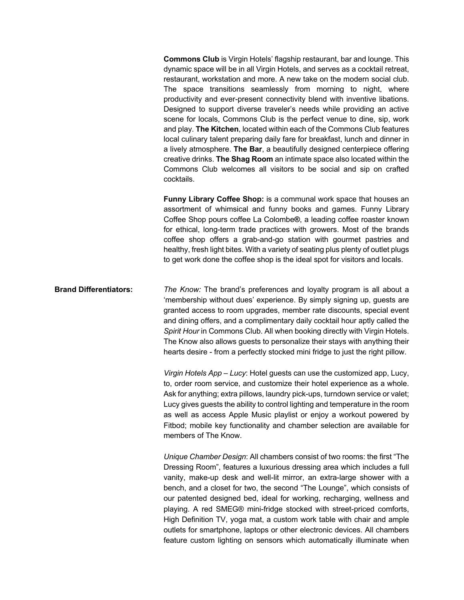**Commons Club** is Virgin Hotels' flagship restaurant, bar and lounge. This dynamic space will be in all Virgin Hotels, and serves as a cocktail retreat, restaurant, workstation and more. A new take on the modern social club. The space transitions seamlessly from morning to night, where productivity and ever-present connectivity blend with inventive libations. Designed to support diverse traveler's needs while providing an active scene for locals, Commons Club is the perfect venue to dine, sip, work and play. **The Kitchen**, located within each of the Commons Club features local culinary talent preparing daily fare for breakfast, lunch and dinner in a lively atmosphere. **The Bar**, a beautifully designed centerpiece offering creative drinks. **The Shag Room** an intimate space also located within the Commons Club welcomes all visitors to be social and sip on crafted cocktails.

**Funny Library Coffee Shop:** is a communal work space that houses an assortment of whimsical and funny books and games. Funny Library Coffee Shop pours coffee La Colombe**®**, a leading coffee roaster known for ethical, long-term trade practices with growers. Most of the brands coffee shop offers a grab-and-go station with gourmet pastries and healthy, fresh light bites. With a variety of seating plus plenty of outlet plugs to get work done the coffee shop is the ideal spot for visitors and locals.

**Brand Differentiators:** *The Know:* The brand's preferences and loyalty program is all about a 'membership without dues' experience. By simply signing up, guests are granted access to room upgrades, member rate discounts, special event and dining offers, and a complimentary daily cocktail hour aptly called the *Spirit Hour* in Commons Club. All when booking directly with Virgin Hotels. The Know also allows guests to personalize their stays with anything their hearts desire - from a perfectly stocked mini fridge to just the right pillow.

> *Virgin Hotels App – Lucy*: Hotel guests can use the customized app, Lucy, to, order room service, and customize their hotel experience as a whole. Ask for anything; extra pillows, laundry pick-ups, turndown service or valet; Lucy gives guests the ability to control lighting and temperature in the room as well as access Apple Music playlist or enjoy a workout powered by Fitbod; mobile key functionality and chamber selection are available for members of The Know.

> *Unique Chamber Design*: All chambers consist of two rooms: the first "The Dressing Room", features a luxurious dressing area which includes a full vanity, make-up desk and well-lit mirror, an extra-large shower with a bench, and a closet for two, the second "The Lounge", which consists of our patented designed bed, ideal for working, recharging, wellness and playing. A red SMEG® mini-fridge stocked with street-priced comforts, High Definition TV, yoga mat, a custom work table with chair and ample outlets for smartphone, laptops or other electronic devices. All chambers feature custom lighting on sensors which automatically illuminate when